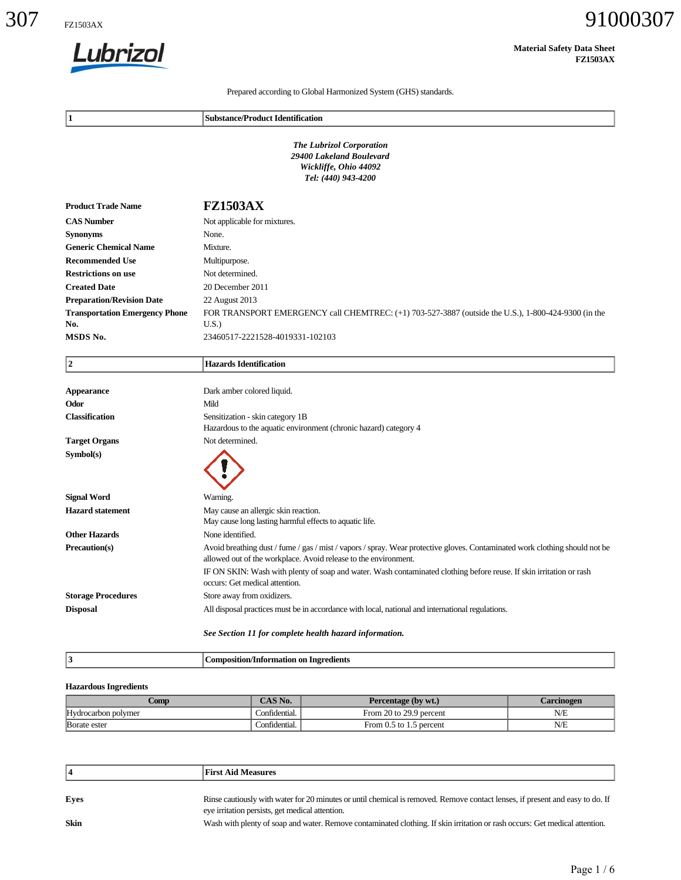

| Lubrizol                                                                  |                                                                                                      |                                                                                                                               | <b>Material Safety Data Sheet</b><br><b>FZ1503AX</b> |
|---------------------------------------------------------------------------|------------------------------------------------------------------------------------------------------|-------------------------------------------------------------------------------------------------------------------------------|------------------------------------------------------|
|                                                                           |                                                                                                      | Prepared according to Global Harmonized System (GHS) standards.                                                               |                                                      |
| 1                                                                         | <b>Substance/Product Identification</b>                                                              |                                                                                                                               |                                                      |
|                                                                           |                                                                                                      | <b>The Lubrizol Corporation</b><br>29400 Lakeland Boulevard<br>Wickliffe, Ohio 44092<br>Tel: (440) 943-4200                   |                                                      |
| <b>Product Trade Name</b>                                                 | <b>FZ1503AX</b>                                                                                      |                                                                                                                               |                                                      |
| <b>CAS Number</b>                                                         | Not applicable for mixtures.                                                                         |                                                                                                                               |                                                      |
| <b>Synonyms</b>                                                           | None.                                                                                                |                                                                                                                               |                                                      |
| <b>Generic Chemical Name</b>                                              | Mixture.                                                                                             |                                                                                                                               |                                                      |
| <b>Recommended Use</b>                                                    | Multipurpose.                                                                                        |                                                                                                                               |                                                      |
| <b>Restrictions on use</b>                                                | Not determined.                                                                                      |                                                                                                                               |                                                      |
| <b>Created Date</b>                                                       | 20 December 2011<br>22 August 2013                                                                   |                                                                                                                               |                                                      |
| <b>Preparation/Revision Date</b><br><b>Transportation Emergency Phone</b> |                                                                                                      | FOR TRANSPORT EMERGENCY call CHEMTREC: (+1) 703-527-3887 (outside the U.S.), 1-800-424-9300 (in the                           |                                                      |
| No.                                                                       | U.S.                                                                                                 |                                                                                                                               |                                                      |
| MSDS No.                                                                  | 23460517-2221528-4019331-102103                                                                      |                                                                                                                               |                                                      |
| $ 2\rangle$                                                               | <b>Hazards Identification</b>                                                                        |                                                                                                                               |                                                      |
| <b>Appearance</b>                                                         | Dark amber colored liquid.                                                                           |                                                                                                                               |                                                      |
| Odor                                                                      | Mild                                                                                                 |                                                                                                                               |                                                      |
| <b>Classification</b>                                                     | Sensitization - skin category 1B<br>Hazardous to the aquatic environment (chronic hazard) category 4 |                                                                                                                               |                                                      |
| <b>Target Organs</b>                                                      | Not determined.                                                                                      |                                                                                                                               |                                                      |
| Symbol(s)                                                                 |                                                                                                      |                                                                                                                               |                                                      |
|                                                                           |                                                                                                      |                                                                                                                               |                                                      |
|                                                                           |                                                                                                      |                                                                                                                               |                                                      |
| <b>Signal Word</b>                                                        | Warning.                                                                                             |                                                                                                                               |                                                      |
| <b>Hazard</b> statement                                                   | May cause an allergic skin reaction.                                                                 |                                                                                                                               |                                                      |
|                                                                           | May cause long lasting harmful effects to aquatic life.                                              |                                                                                                                               |                                                      |
| <b>Other Hazards</b><br>Precaution(s)                                     | None identified.                                                                                     | Avoid breathing dust / fume / gas / mist / vapors / spray. Wear protective gloves. Contaminated work clothing should not be   |                                                      |
|                                                                           | allowed out of the workplace. Avoid release to the environment.                                      |                                                                                                                               |                                                      |
|                                                                           |                                                                                                      | IF ON SKIN: Wash with plenty of soap and water. Wash contaminated clothing before reuse. If skin irritation or rash           |                                                      |
|                                                                           | occurs: Get medical attention.                                                                       |                                                                                                                               |                                                      |
| <b>Storage Procedures</b>                                                 | Store away from oxidizers.                                                                           |                                                                                                                               |                                                      |
| <b>Disposal</b>                                                           |                                                                                                      | All disposal practices must be in accordance with local, national and international regulations.                              |                                                      |
|                                                                           | See Section 11 for complete health hazard information.                                               |                                                                                                                               |                                                      |
| $ 3\rangle$                                                               | <b>Composition/Information on Ingredients</b>                                                        |                                                                                                                               |                                                      |
| <b>Hazardous Ingredients</b>                                              |                                                                                                      |                                                                                                                               |                                                      |
| Comp                                                                      | CAS No.                                                                                              | Percentage (by wt.)                                                                                                           | <b>Carcinogen</b>                                    |
| Hydrocarbon polymer                                                       | Confidential.                                                                                        | From 20 to 29.9 percent                                                                                                       | $N\!/\!E$                                            |
| Borate ester                                                              | Confidential.                                                                                        | From 0.5 to 1.5 percent                                                                                                       | N/E                                                  |
|                                                                           |                                                                                                      |                                                                                                                               |                                                      |
| 4                                                                         | <b>First Aid Measures</b>                                                                            |                                                                                                                               |                                                      |
| Eyes                                                                      |                                                                                                      | Rinse cautiously with water for 20 minutes or until chemical is removed. Remove contact lenses, if present and easy to do. If |                                                      |
|                                                                           | eye irritation persists, get medical attention.                                                      |                                                                                                                               |                                                      |
| <b>Skin</b>                                                               |                                                                                                      | Wash with plenty of soap and water. Remove contaminated clothing. If skin irritation or rash occurs: Get medical attention.   |                                                      |

### **Hazardous Ingredients**

| .`omp                               | CAS No.                         | Percentage (by wt.)       | <i>C</i> arcinogen |
|-------------------------------------|---------------------------------|---------------------------|--------------------|
| $\mathbf{r}$<br>Hydrocarbon polymer | $\sim$ $\sim$<br>.`onfidential. | From 20 to 29.9 percent   | N/E                |
| Borate ester                        | Confidential.                   | From $0.5$ to 1.5 percent | N/E                |

|      | <b>First Aid Measures</b>                                                                                                                                                        |
|------|----------------------------------------------------------------------------------------------------------------------------------------------------------------------------------|
| Eves | Rinse cautiously with water for 20 minutes or until chemical is removed. Remove contact lenses, if present and easy to do. If<br>eye irritation persists, get medical attention. |
| Skin | Wash with plenty of soap and water. Remove contaminated clothing. If skin irritation or rash occurs: Get medical attention.                                                      |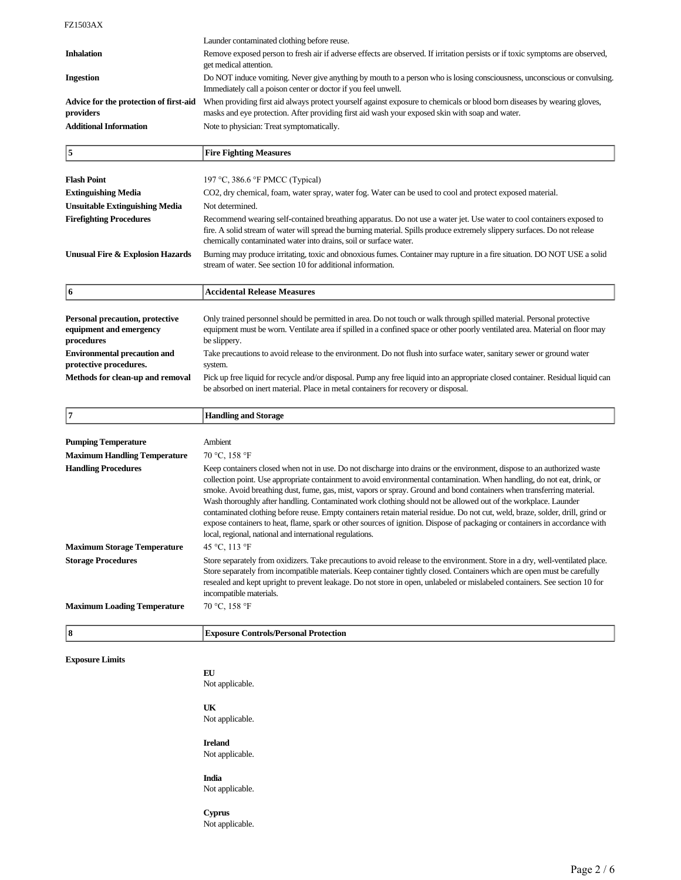|                                                     | Launder contaminated clothing before reuse.                                                                                                                                                                                 |
|-----------------------------------------------------|-----------------------------------------------------------------------------------------------------------------------------------------------------------------------------------------------------------------------------|
| <b>Inhalation</b>                                   | Remove exposed person to fresh air if adverse effects are observed. If irritation persists or if toxic symptoms are observed,<br>get medical attention.                                                                     |
| <b>Ingestion</b>                                    | Do NOT induce vomiting. Never give anything by mouth to a person who is losing consciousness, unconscious or convulsing.<br>Immediately call a poison center or doctor if you feel unwell.                                  |
| Advice for the protection of first-aid<br>providers | When providing first aid always protect yourself against exposure to chemicals or blood born diseases by wearing gloves,<br>masks and eye protection. After providing first aid wash your exposed skin with soap and water. |
| <b>Additional Information</b>                       | Note to physician: Treat symptomatically.                                                                                                                                                                                   |

| 5                                                                        | <b>Fire Fighting Measures</b>                                                                                                                                                                                                                                                                                            |
|--------------------------------------------------------------------------|--------------------------------------------------------------------------------------------------------------------------------------------------------------------------------------------------------------------------------------------------------------------------------------------------------------------------|
|                                                                          |                                                                                                                                                                                                                                                                                                                          |
| <b>Flash Point</b>                                                       | 197 °C, 386.6 °F PMCC (Typical)                                                                                                                                                                                                                                                                                          |
| <b>Extinguishing Media</b>                                               | CO2, dry chemical, foam, water spray, water fog. Water can be used to cool and protect exposed material.                                                                                                                                                                                                                 |
| <b>Unsuitable Extinguishing Media</b>                                    | Not determined.                                                                                                                                                                                                                                                                                                          |
| <b>Firefighting Procedures</b>                                           | Recommend wearing self-contained breathing apparatus. Do not use a water jet. Use water to cool containers exposed to<br>fire. A solid stream of water will spread the burning material. Spills produce extremely slippery surfaces. Do not release<br>chemically contaminated water into drains, soil or surface water. |
| <b>Unusual Fire &amp; Explosion Hazards</b>                              | Burning may produce irritating, toxic and obnoxious fumes. Container may rupture in a fire situation. DO NOT USE a solid<br>stream of water. See section 10 for additional information.                                                                                                                                  |
| 6                                                                        | <b>Accidental Release Measures</b>                                                                                                                                                                                                                                                                                       |
|                                                                          |                                                                                                                                                                                                                                                                                                                          |
| Personal precaution, protective<br>equipment and emergency<br>procedures | Only trained personnel should be permitted in area. Do not touch or walk through spilled material. Personal protective<br>equipment must be worn. Ventilate area if spilled in a confined space or other poorly ventilated area. Material on floor may<br>be slippery.                                                   |
| <b>Environmental precaution and</b><br>protective procedures.            | Take precautions to avoid release to the environment. Do not flush into surface water, sanitary sewer or ground water<br>system.                                                                                                                                                                                         |
| Methods for clean-up and removal                                         | Pick up free liquid for recycle and/or disposal. Pump any free liquid into an appropriate closed container. Residual liquid can                                                                                                                                                                                          |

be absorbed on inert material. Place in metal containers for recovery or disposal.

| 17                                  | <b>Handling and Storage</b>                                                                                                                                                                                                                                                                                                                                                                                                                                                                                                                                                                                                                                                                                                                                                                                                 |
|-------------------------------------|-----------------------------------------------------------------------------------------------------------------------------------------------------------------------------------------------------------------------------------------------------------------------------------------------------------------------------------------------------------------------------------------------------------------------------------------------------------------------------------------------------------------------------------------------------------------------------------------------------------------------------------------------------------------------------------------------------------------------------------------------------------------------------------------------------------------------------|
|                                     |                                                                                                                                                                                                                                                                                                                                                                                                                                                                                                                                                                                                                                                                                                                                                                                                                             |
| <b>Pumping Temperature</b>          | Ambient                                                                                                                                                                                                                                                                                                                                                                                                                                                                                                                                                                                                                                                                                                                                                                                                                     |
| <b>Maximum Handling Temperature</b> | 70 °C, 158 °F                                                                                                                                                                                                                                                                                                                                                                                                                                                                                                                                                                                                                                                                                                                                                                                                               |
| <b>Handling Procedures</b>          | Keep containers closed when not in use. Do not discharge into drains or the environment, dispose to an authorized waste<br>collection point. Use appropriate containment to avoid environmental contamination. When handling, do not eat, drink, or<br>smoke. Avoid breathing dust, fume, gas, mist, vapors or spray. Ground and bond containers when transferring material.<br>Wash thoroughly after handling. Contaminated work clothing should not be allowed out of the workplace. Launder<br>contaminated clothing before reuse. Empty containers retain material residue. Do not cut, weld, braze, solder, drill, grind or<br>expose containers to heat, flame, spark or other sources of ignition. Dispose of packaging or containers in accordance with<br>local, regional, national and international regulations. |
| <b>Maximum Storage Temperature</b>  | 45 °C. 113 °F                                                                                                                                                                                                                                                                                                                                                                                                                                                                                                                                                                                                                                                                                                                                                                                                               |
| <b>Storage Procedures</b>           | Store separately from oxidizers. Take precautions to avoid release to the environment. Store in a dry, well-ventilated place.<br>Store separately from incompatible materials. Keep container tightly closed. Containers which are open must be carefully<br>resealed and kept upright to prevent leakage. Do not store in open, unlabeled or mislabeled containers. See section 10 for<br>incompatible materials.                                                                                                                                                                                                                                                                                                                                                                                                          |
| <b>Maximum Loading Temperature</b>  | 70 °C, 158 °F                                                                                                                                                                                                                                                                                                                                                                                                                                                                                                                                                                                                                                                                                                                                                                                                               |
| 8                                   | <b>Exposure Controls/Personal Protection</b>                                                                                                                                                                                                                                                                                                                                                                                                                                                                                                                                                                                                                                                                                                                                                                                |
| <b>Exposure Limits</b>              |                                                                                                                                                                                                                                                                                                                                                                                                                                                                                                                                                                                                                                                                                                                                                                                                                             |
|                                     | EU                                                                                                                                                                                                                                                                                                                                                                                                                                                                                                                                                                                                                                                                                                                                                                                                                          |
|                                     | Not applicable.                                                                                                                                                                                                                                                                                                                                                                                                                                                                                                                                                                                                                                                                                                                                                                                                             |
|                                     | UK                                                                                                                                                                                                                                                                                                                                                                                                                                                                                                                                                                                                                                                                                                                                                                                                                          |

Not applicable.

# **Ireland**

Not applicable.

# **India**

Not applicable.

#### **Cyprus**

Not applicable.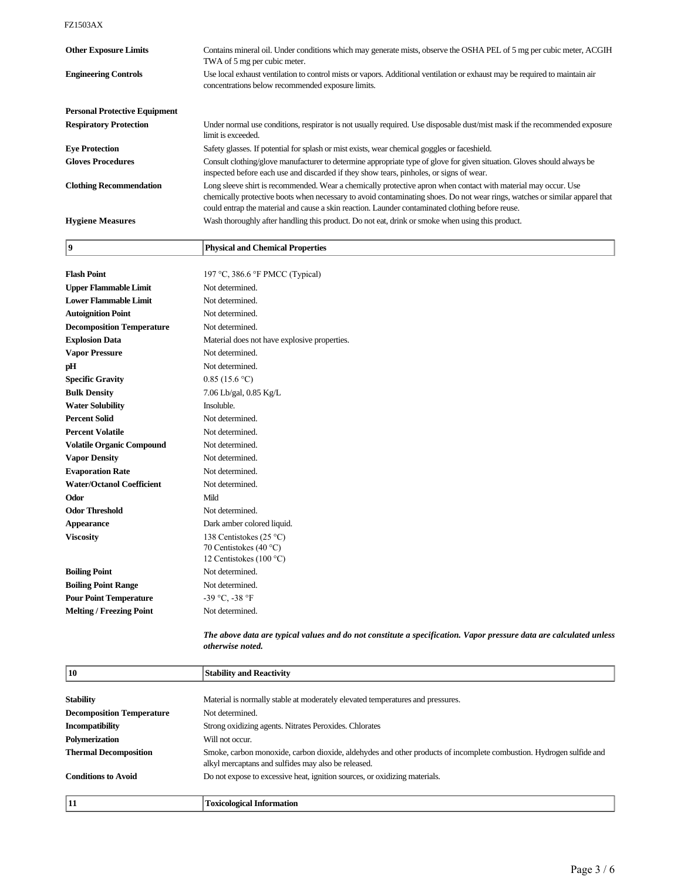| <b>Other Exposure Limits</b>         | Contains mineral oil. Under conditions which may generate mists, observe the OSHA PEL of 5 mg per cubic meter, ACGIH<br>TWA of 5 mg per cubic meter.                                                                                                                                                                                              |
|--------------------------------------|---------------------------------------------------------------------------------------------------------------------------------------------------------------------------------------------------------------------------------------------------------------------------------------------------------------------------------------------------|
| <b>Engineering Controls</b>          | Use local exhaust ventilation to control mists or vapors. Additional ventilation or exhaust may be required to maintain air<br>concentrations below recommended exposure limits.                                                                                                                                                                  |
| <b>Personal Protective Equipment</b> |                                                                                                                                                                                                                                                                                                                                                   |
| <b>Respiratory Protection</b>        | Under normal use conditions, respirator is not usually required. Use disposable dust/mist mask if the recommended exposure<br>limit is exceeded.                                                                                                                                                                                                  |
| <b>Eve Protection</b>                | Safety glasses. If potential for splash or mist exists, wear chemical goggles or faceshield.                                                                                                                                                                                                                                                      |
| <b>Gloves Procedures</b>             | Consult clothing/glove manufacturer to determine appropriate type of glove for given situation. Gloves should always be<br>inspected before each use and discarded if they show tears, pinholes, or signs of wear.                                                                                                                                |
| <b>Clothing Recommendation</b>       | Long sleeve shirt is recommended. Wear a chemically protective apron when contact with material may occur. Use<br>chemically protective boots when necessary to avoid contaminating shoes. Do not wear rings, watches or similar apparel that<br>could entrap the material and cause a skin reaction. Launder contaminated clothing before reuse. |
| <b>Hygiene Measures</b>              | Wash thoroughly after handling this product. Do not eat, drink or smoke when using this product.                                                                                                                                                                                                                                                  |

|                    | <b>Physical and Chemical Properties</b> |
|--------------------|-----------------------------------------|
|                    |                                         |
| <b>Flash Point</b> | 197 °C, 386.6 °F PMCC (Typical)         |

|                                  | $\sigma$ , 500.0 $\tau$ $\mu$ $\mu$ $\sigma$ $\mu$ $\mu$ $\mu$ $\sigma$               |
|----------------------------------|---------------------------------------------------------------------------------------|
| <b>Upper Flammable Limit</b>     | Not determined.                                                                       |
| <b>Lower Flammable Limit</b>     | Not determined.                                                                       |
| <b>Autoignition Point</b>        | Not determined.                                                                       |
| <b>Decomposition Temperature</b> | Not determined.                                                                       |
| <b>Explosion Data</b>            | Material does not have explosive properties.                                          |
| <b>Vapor Pressure</b>            | Not determined.                                                                       |
| pН                               | Not determined.                                                                       |
| <b>Specific Gravity</b>          | 0.85(15.6 °C)                                                                         |
| <b>Bulk Density</b>              | 7.06 Lb/gal, 0.85 Kg/L                                                                |
| <b>Water Solubility</b>          | Insoluble.                                                                            |
| <b>Percent Solid</b>             | Not determined.                                                                       |
| <b>Percent Volatile</b>          | Not determined.                                                                       |
| <b>Volatile Organic Compound</b> | Not determined.                                                                       |
| <b>Vapor Density</b>             | Not determined.                                                                       |
| <b>Evaporation Rate</b>          | Not determined.                                                                       |
| <b>Water/Octanol Coefficient</b> | Not determined.                                                                       |
| Odor                             | Mild                                                                                  |
| <b>Odor Threshold</b>            | Not determined.                                                                       |
| <b>Appearance</b>                | Dark amber colored liquid.                                                            |
| <b>Viscosity</b>                 | 138 Centistokes (25 °C)<br>70 Centistokes (40 °C)<br>12 Centistokes (100 $\degree$ C) |
| <b>Boiling Point</b>             | Not determined.                                                                       |
| <b>Boiling Point Range</b>       | Not determined.                                                                       |
| <b>Pour Point Temperature</b>    | $-39$ °C, $-38$ °F                                                                    |
| <b>Melting / Freezing Point</b>  | Not determined.                                                                       |
|                                  |                                                                                       |

*The above data are typical values and do not constitute a specification. Vapor pressure data are calculated unless otherwise noted.*

| 10                               | <b>Stability and Reactivity</b>                                                                                                                                            |
|----------------------------------|----------------------------------------------------------------------------------------------------------------------------------------------------------------------------|
|                                  |                                                                                                                                                                            |
| <b>Stability</b>                 | Material is normally stable at moderately elevated temperatures and pressures.                                                                                             |
| <b>Decomposition Temperature</b> | Not determined.                                                                                                                                                            |
| <b>Incompatibility</b>           | Strong oxidizing agents. Nitrates Peroxides. Chlorates                                                                                                                     |
| Polymerization                   | Will not occur.                                                                                                                                                            |
| <b>Thermal Decomposition</b>     | Smoke, carbon monoxide, carbon dioxide, aldehydes and other products of incomplete combustion. Hydrogen sulfide and<br>alkyl mercaptans and sulfides may also be released. |
| <b>Conditions to Avoid</b>       | Do not expose to excessive heat, ignition sources, or oxidizing materials.                                                                                                 |
| 11                               | <b>Toxicological Information</b>                                                                                                                                           |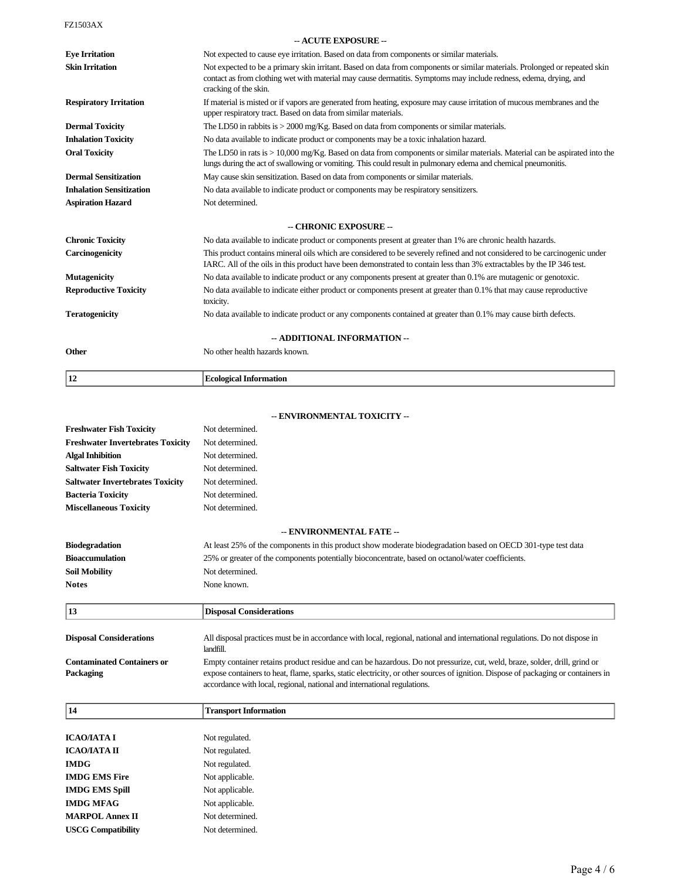| - ACUTE EXPOSURE --             |                                                                                                                                                                                                                                                                          |  |
|---------------------------------|--------------------------------------------------------------------------------------------------------------------------------------------------------------------------------------------------------------------------------------------------------------------------|--|
| <b>Eve Irritation</b>           | Not expected to cause eye irritation. Based on data from components or similar materials.                                                                                                                                                                                |  |
| <b>Skin Irritation</b>          | Not expected to be a primary skin irritant. Based on data from components or similar materials. Prolonged or repeated skin<br>contact as from clothing wet with material may cause dermatitis. Symptoms may include redness, edema, drying, and<br>cracking of the skin. |  |
| <b>Respiratory Irritation</b>   | If material is misted or if vapors are generated from heating, exposure may cause irritation of mucous membranes and the<br>upper respiratory tract. Based on data from similar materials.                                                                               |  |
| <b>Dermal Toxicity</b>          | The LD50 in rabbits is $>$ 2000 mg/Kg. Based on data from components or similar materials.                                                                                                                                                                               |  |
| <b>Inhalation Toxicity</b>      | No data available to indicate product or components may be a toxic inhalation hazard.                                                                                                                                                                                    |  |
| <b>Oral Toxicity</b>            | The LD50 in rats is $> 10,000$ mg/Kg. Based on data from components or similar materials. Material can be aspirated into the<br>lungs during the act of swallowing or vomiting. This could result in pulmonary edema and chemical pneumonitis.                           |  |
| <b>Dermal Sensitization</b>     | May cause skin sensitization. Based on data from components or similar materials.                                                                                                                                                                                        |  |
| <b>Inhalation Sensitization</b> | No data available to indicate product or components may be respiratory sensitizers.                                                                                                                                                                                      |  |
| <b>Aspiration Hazard</b>        | Not determined.                                                                                                                                                                                                                                                          |  |
|                                 | -- CHRONIC EXPOSURE --                                                                                                                                                                                                                                                   |  |
| <b>Chronic Toxicity</b>         | No data available to indicate product or components present at greater than 1% are chronic health hazards.                                                                                                                                                               |  |
| Carcinogenicity                 | This product contains mineral oils which are considered to be severely refined and not considered to be carcinogenic under<br>IARC. All of the oils in this product have been demonstrated to contain less than 3% extractables by the IP 346 test.                      |  |
| <b>Mutagenicity</b>             | No data available to indicate product or any components present at greater than 0.1% are mutagenic or genotoxic.                                                                                                                                                         |  |
| <b>Reproductive Toxicity</b>    | No data available to indicate either product or components present at greater than 0.1% that may cause reproductive<br>toxicity.                                                                                                                                         |  |
| <b>Teratogenicity</b>           | No data available to indicate product or any components contained at greater than 0.1% may cause birth defects.                                                                                                                                                          |  |
| -- ADDITIONAL INFORMATION --    |                                                                                                                                                                                                                                                                          |  |
| <b>Other</b>                    | No other health hazards known.                                                                                                                                                                                                                                           |  |
| 12                              | <b>Ecological Information</b>                                                                                                                                                                                                                                            |  |

|                                                | VIRONMENTAL TOARTH I                                                                                                                                                                                                                                                                                                                        |
|------------------------------------------------|---------------------------------------------------------------------------------------------------------------------------------------------------------------------------------------------------------------------------------------------------------------------------------------------------------------------------------------------|
| <b>Freshwater Fish Toxicity</b>                | Not determined.                                                                                                                                                                                                                                                                                                                             |
| <b>Freshwater Invertebrates Toxicity</b>       | Not determined.                                                                                                                                                                                                                                                                                                                             |
| <b>Algal Inhibition</b>                        | Not determined.                                                                                                                                                                                                                                                                                                                             |
| <b>Saltwater Fish Toxicity</b>                 | Not determined.                                                                                                                                                                                                                                                                                                                             |
| <b>Saltwater Invertebrates Toxicity</b>        | Not determined.                                                                                                                                                                                                                                                                                                                             |
| <b>Bacteria Toxicity</b>                       | Not determined.                                                                                                                                                                                                                                                                                                                             |
| <b>Miscellaneous Toxicity</b>                  | Not determined.                                                                                                                                                                                                                                                                                                                             |
|                                                | -- ENVIRONMENTAL FATE --                                                                                                                                                                                                                                                                                                                    |
| <b>Biodegradation</b>                          | At least 25% of the components in this product show moderate biodegradation based on OECD 301-type test data                                                                                                                                                                                                                                |
| <b>Bioaccumulation</b>                         | 25% or greater of the components potentially bioconcentrate, based on octanol/water coefficients.                                                                                                                                                                                                                                           |
| <b>Soil Mobility</b>                           | Not determined.                                                                                                                                                                                                                                                                                                                             |
| <b>Notes</b>                                   | None known.                                                                                                                                                                                                                                                                                                                                 |
|                                                |                                                                                                                                                                                                                                                                                                                                             |
| 13                                             | <b>Disposal Considerations</b>                                                                                                                                                                                                                                                                                                              |
| <b>Disposal Considerations</b>                 | All disposal practices must be in accordance with local, regional, national and international regulations. Do not dispose in<br>landfill.                                                                                                                                                                                                   |
| <b>Contaminated Containers or</b><br>Packaging | Empty container retains product residue and can be hazardous. Do not pressurize, cut, weld, braze, solder, drill, grind or<br>expose containers to heat, flame, sparks, static electricity, or other sources of ignition. Dispose of packaging or containers in<br>accordance with local, regional, national and international regulations. |
| 14                                             | <b>Transport Information</b>                                                                                                                                                                                                                                                                                                                |
| <b>ICAO/IATA I</b>                             | Not regulated.                                                                                                                                                                                                                                                                                                                              |
| ІСАО/ІАТА ІІ                                   | Not regulated.                                                                                                                                                                                                                                                                                                                              |
| <b>IMDG</b>                                    | Not regulated.                                                                                                                                                                                                                                                                                                                              |
| <b>IMDG EMS Fire</b>                           | Not applicable.                                                                                                                                                                                                                                                                                                                             |
| <b>IMDG EMS Spill</b>                          | Not applicable.                                                                                                                                                                                                                                                                                                                             |
| <b>IMDG MFAG</b>                               | Not applicable.                                                                                                                                                                                                                                                                                                                             |
| <b>MARPOL Annex II</b>                         | Not determined.                                                                                                                                                                                                                                                                                                                             |
| <b>USCG Compatibility</b>                      | Not determined.                                                                                                                                                                                                                                                                                                                             |
|                                                |                                                                                                                                                                                                                                                                                                                                             |

## **- ENVIRONMENTAL TOXICITY**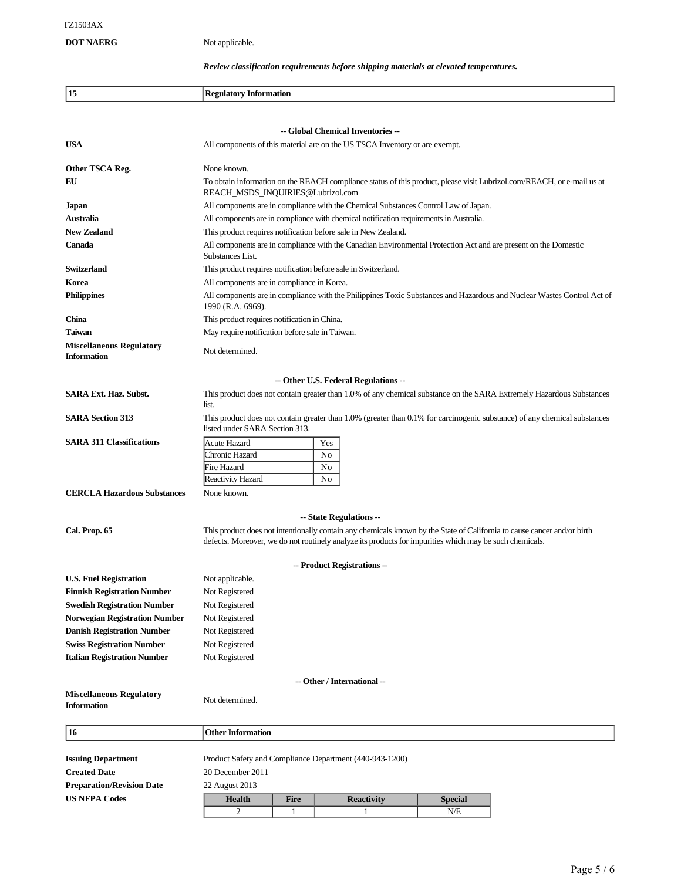# **DOT NAERG** Not applicable.

# *Review classification requirements before shipping materials at elevated temperatures.*

| 15                                                    | <b>Regulatory Information</b>                                                                                                                                                                                                      |  |  |  |  |
|-------------------------------------------------------|------------------------------------------------------------------------------------------------------------------------------------------------------------------------------------------------------------------------------------|--|--|--|--|
|                                                       |                                                                                                                                                                                                                                    |  |  |  |  |
|                                                       | -- Global Chemical Inventories --                                                                                                                                                                                                  |  |  |  |  |
| <b>USA</b>                                            | All components of this material are on the US TSCA Inventory or are exempt.                                                                                                                                                        |  |  |  |  |
| Other TSCA Reg.                                       | None known.                                                                                                                                                                                                                        |  |  |  |  |
| EU                                                    | To obtain information on the REACH compliance status of this product, please visit Lubrizol.com/REACH, or e-mail us at<br>REACH_MSDS_INQUIRIES@Lubrizol.com                                                                        |  |  |  |  |
| <b>Japan</b>                                          | All components are in compliance with the Chemical Substances Control Law of Japan.                                                                                                                                                |  |  |  |  |
| Australia                                             | All components are in compliance with chemical notification requirements in Australia.                                                                                                                                             |  |  |  |  |
| <b>New Zealand</b>                                    | This product requires notification before sale in New Zealand.                                                                                                                                                                     |  |  |  |  |
| Canada                                                | All components are in compliance with the Canadian Environmental Protection Act and are present on the Domestic<br>Substances List.                                                                                                |  |  |  |  |
| Switzerland                                           | This product requires notification before sale in Switzerland.                                                                                                                                                                     |  |  |  |  |
| Korea                                                 | All components are in compliance in Korea.                                                                                                                                                                                         |  |  |  |  |
| <b>Philippines</b>                                    | All components are in compliance with the Philippines Toxic Substances and Hazardous and Nuclear Wastes Control Act of<br>1990 (R.A. 6969).                                                                                        |  |  |  |  |
| China                                                 | This product requires notification in China.                                                                                                                                                                                       |  |  |  |  |
| Taiwan                                                | May require notification before sale in Taiwan.                                                                                                                                                                                    |  |  |  |  |
| <b>Miscellaneous Regulatory</b><br><b>Information</b> | Not determined.                                                                                                                                                                                                                    |  |  |  |  |
| -- Other U.S. Federal Regulations --                  |                                                                                                                                                                                                                                    |  |  |  |  |
| <b>SARA Ext. Haz. Subst.</b>                          | This product does not contain greater than 1.0% of any chemical substance on the SARA Extremely Hazardous Substances<br>list.                                                                                                      |  |  |  |  |
|                                                       |                                                                                                                                                                                                                                    |  |  |  |  |
| <b>SARA Section 313</b>                               | This product does not contain greater than 1.0% (greater than 0.1% for carcinogenic substance) of any chemical substances<br>listed under SARA Section 313.                                                                        |  |  |  |  |
| <b>SARA 311 Classifications</b>                       | Acute Hazard<br>Yes                                                                                                                                                                                                                |  |  |  |  |
|                                                       | Chronic Hazard<br>No                                                                                                                                                                                                               |  |  |  |  |
|                                                       | Fire Hazard<br>No                                                                                                                                                                                                                  |  |  |  |  |
|                                                       | Reactivity Hazard<br>No                                                                                                                                                                                                            |  |  |  |  |
| <b>CERCLA Hazardous Substances</b>                    | None known.                                                                                                                                                                                                                        |  |  |  |  |
|                                                       | -- State Regulations --                                                                                                                                                                                                            |  |  |  |  |
| Cal. Prop. 65                                         | This product does not intentionally contain any chemicals known by the State of California to cause cancer and/or birth<br>defects. Moreover, we do not routinely analyze its products for impurities which may be such chemicals. |  |  |  |  |
| -- Product Registrations --                           |                                                                                                                                                                                                                                    |  |  |  |  |
| <b>U.S. Fuel Registration</b>                         | Not applicable.                                                                                                                                                                                                                    |  |  |  |  |
| <b>Finnish Registration Number</b>                    | Not Registered                                                                                                                                                                                                                     |  |  |  |  |
| <b>Swedish Registration Number</b>                    | Not Registered                                                                                                                                                                                                                     |  |  |  |  |
| <b>Norwegian Registration Number</b>                  | Not Registered                                                                                                                                                                                                                     |  |  |  |  |
| <b>Danish Registration Number</b>                     | Not Registered                                                                                                                                                                                                                     |  |  |  |  |
| <b>Swiss Registration Number</b>                      | Not Registered                                                                                                                                                                                                                     |  |  |  |  |
| <b>Italian Registration Number</b>                    | Not Registered                                                                                                                                                                                                                     |  |  |  |  |
| -- Other / International --                           |                                                                                                                                                                                                                                    |  |  |  |  |
| <b>Miscellaneous Regulatory</b>                       |                                                                                                                                                                                                                                    |  |  |  |  |
| <b>Information</b>                                    | Not determined.                                                                                                                                                                                                                    |  |  |  |  |
|                                                       |                                                                                                                                                                                                                                    |  |  |  |  |
| 16                                                    | <b>Other Information</b>                                                                                                                                                                                                           |  |  |  |  |
| <b>Issuing Department</b>                             | Product Safety and Compliance Department (440-943-1200)                                                                                                                                                                            |  |  |  |  |
| <b>Created Date</b>                                   | 20 December 2011                                                                                                                                                                                                                   |  |  |  |  |
| <b>Preparation/Revision Date</b>                      | 22 August 2013                                                                                                                                                                                                                     |  |  |  |  |
| <b>US NFPA Codes</b>                                  | <b>Health</b><br><b>Fire</b><br><b>Reactivity</b><br><b>Special</b>                                                                                                                                                                |  |  |  |  |
|                                                       | 2<br>1<br>N/E<br>1                                                                                                                                                                                                                 |  |  |  |  |
|                                                       |                                                                                                                                                                                                                                    |  |  |  |  |

٦